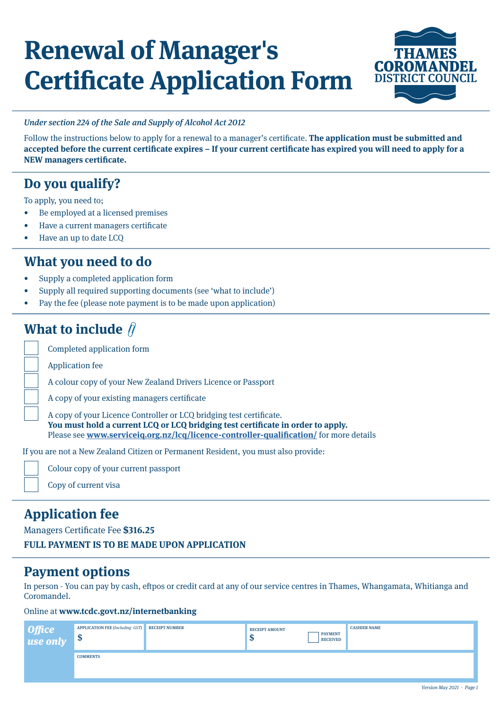# **Renewal of Manager's Certificate Application Form**



#### Under section 224 of the Sale and Supply of Alcohol Act 2012

Follow the instructions below to apply for a renewal to a manager's certificate. **The application must be submitted and accepted before the current certificate expires – If your current certificate has expired you will need to apply for a NEW managers certificate.**

## **Do you qualify?**

To apply, you need to;

- Be employed at a licensed premises
- Have a current managers certificate
- Have an up to date LCQ

### **What you need to do**

- Supply a completed application form
- Supply all required supporting documents (see 'what to include')
- Pay the fee (please note payment is to be made upon application)

## **What to include**  $\hat{\beta}$

Completed application form

Application fee

A colour copy of your New Zealand Drivers Licence or Passport

A copy of your existing managers certificate

A copy of your Licence Controller or LCQ bridging test certificate. **You must hold a current LCQ or LCQ bridging test certificate in order to apply.**  Please see **[www.serviceiq.org.nz/lcq/licence-controller-qualification/](http://www.serviceiq.org.nz/lcq/licence-controller-qualification/)** for more details

If you are not a New Zealand Citizen or Permanent Resident, you must also provide:



Colour copy of your current passport

Copy of current visa

## **Application fee**

Managers Certificate Fee **\$316.25**

**FULL PAYMENT IS TO BE MADE UPON APPLICATION**

### **Payment options**

In person - You can pay by cash, eftpos or credit card at any of our service centres in Thames, Whangamata, Whitianga and Coromandel.

#### Online at **www.tcdc.govt.nz/internetbanking**

| Office<br>use only | APPLICATION FEE (Including GST) RECEIPT NUMBER<br>ູມ | <b>RECEIPT AMOUNT</b><br>ND | <b>PAYMENT</b><br><b>RECEIVED</b> | <b>CASHIER NAME</b> |
|--------------------|------------------------------------------------------|-----------------------------|-----------------------------------|---------------------|
|                    | <b>COMMENTS</b>                                      |                             |                                   |                     |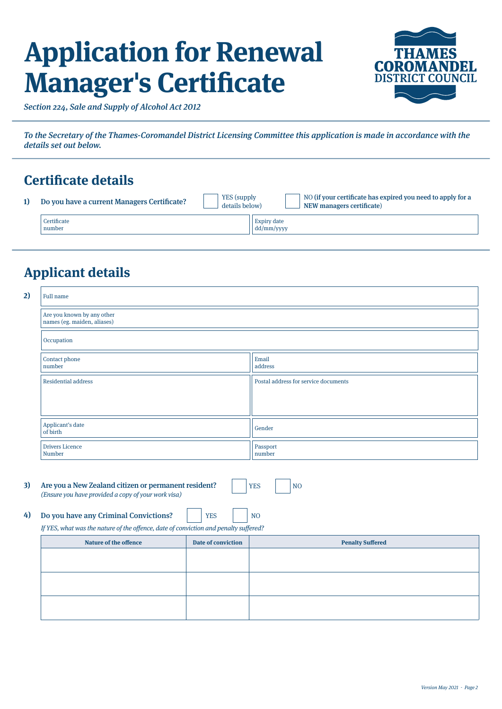# **Application for Renewal Manager's Certificate**



Section 224, Sale and Supply of Alcohol Act 2012

To the Secretary of the Thames-Coromandel District Licensing Committee this application is made in accordance with the details set out below.

## **Certificate details**

| Do you have a current Managers Certificate? | <b>YES</b> (supply<br>details below) |                                         | NO (if your certificate has expired you need to apply for a<br>NEW managers certificate |
|---------------------------------------------|--------------------------------------|-----------------------------------------|-----------------------------------------------------------------------------------------|
| Certificate<br>number                       |                                      | Expiry date<br>$\frac{1}{1}$ dd/mm/yyyy |                                                                                         |

## **Applicant details**

| 2) | <b>Full name</b>                                                                     |                           |                                      |  |  |  |
|----|--------------------------------------------------------------------------------------|---------------------------|--------------------------------------|--|--|--|
|    | Are you known by any other<br>names (eg. maiden, aliases)                            |                           |                                      |  |  |  |
|    | Occupation                                                                           |                           |                                      |  |  |  |
|    | Contact phone<br>number                                                              |                           | Email<br>address                     |  |  |  |
|    | <b>Residential address</b>                                                           |                           | Postal address for service documents |  |  |  |
|    |                                                                                      |                           |                                      |  |  |  |
|    | Applicant's date<br>of birth                                                         |                           | Gender                               |  |  |  |
|    | <b>Drivers Licence</b><br>Number                                                     |                           | Passport<br>number                   |  |  |  |
| 3) | Are you a New Zealand citizen or permanent resident?                                 |                           | <b>YES</b><br>N <sub>O</sub>         |  |  |  |
|    | (Ensure you have provided a copy of your work visa)                                  |                           |                                      |  |  |  |
| 4) | Do you have any Criminal Convictions?                                                | <b>YES</b>                | N <sub>O</sub>                       |  |  |  |
|    | If YES, what was the nature of the offence, date of conviction and penalty suffered? |                           |                                      |  |  |  |
|    | <b>Nature of the offence</b>                                                         | <b>Date of conviction</b> | <b>Penalty Suffered</b>              |  |  |  |
|    |                                                                                      |                           |                                      |  |  |  |
|    |                                                                                      |                           |                                      |  |  |  |
|    |                                                                                      |                           |                                      |  |  |  |
|    |                                                                                      |                           |                                      |  |  |  |